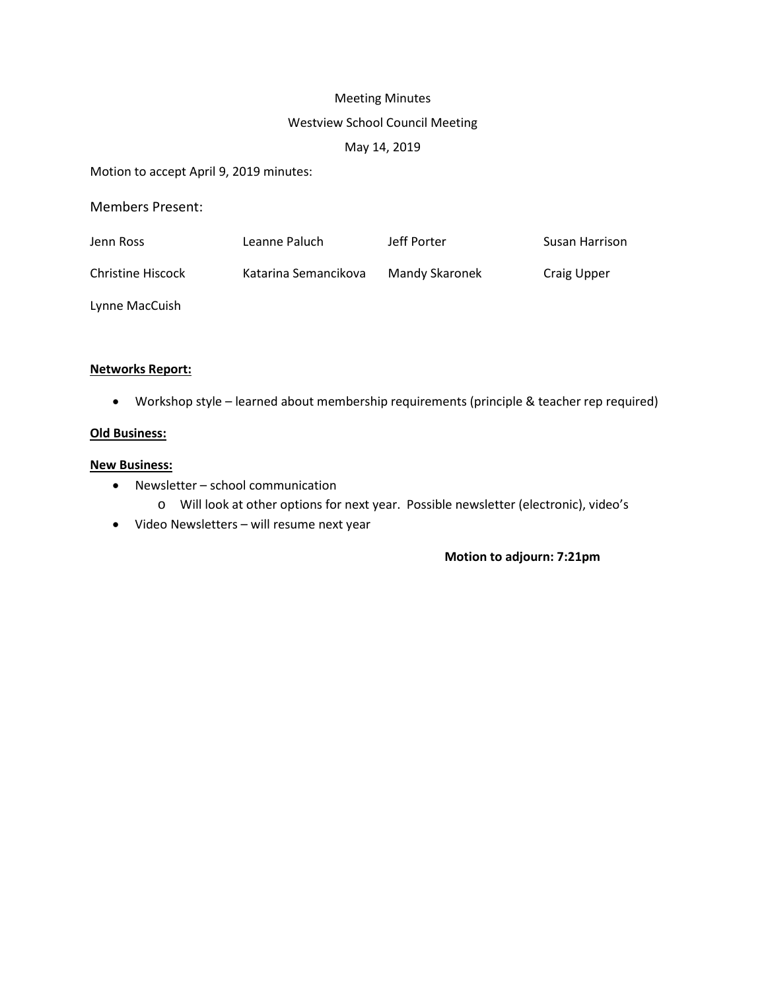# Meeting Minutes

# Westview School Council Meeting

# May 14, 2019

Motion to accept April 9, 2019 minutes:

Members Present:

| Jenn Ross         | Leanne Paluch        | Jeff Porter    | Susan Harrison |
|-------------------|----------------------|----------------|----------------|
| Christine Hiscock | Katarina Semancikova | Mandy Skaronek | Craig Upper    |
| Lynne MacCuish    |                      |                |                |

## **Networks Report:**

• Workshop style – learned about membership requirements (principle & teacher rep required)

## **Old Business:**

#### **New Business:**

- Newsletter school communication
	- o Will look at other options for next year. Possible newsletter (electronic), video's
- Video Newsletters will resume next year

## **Motion to adjourn: 7:21pm**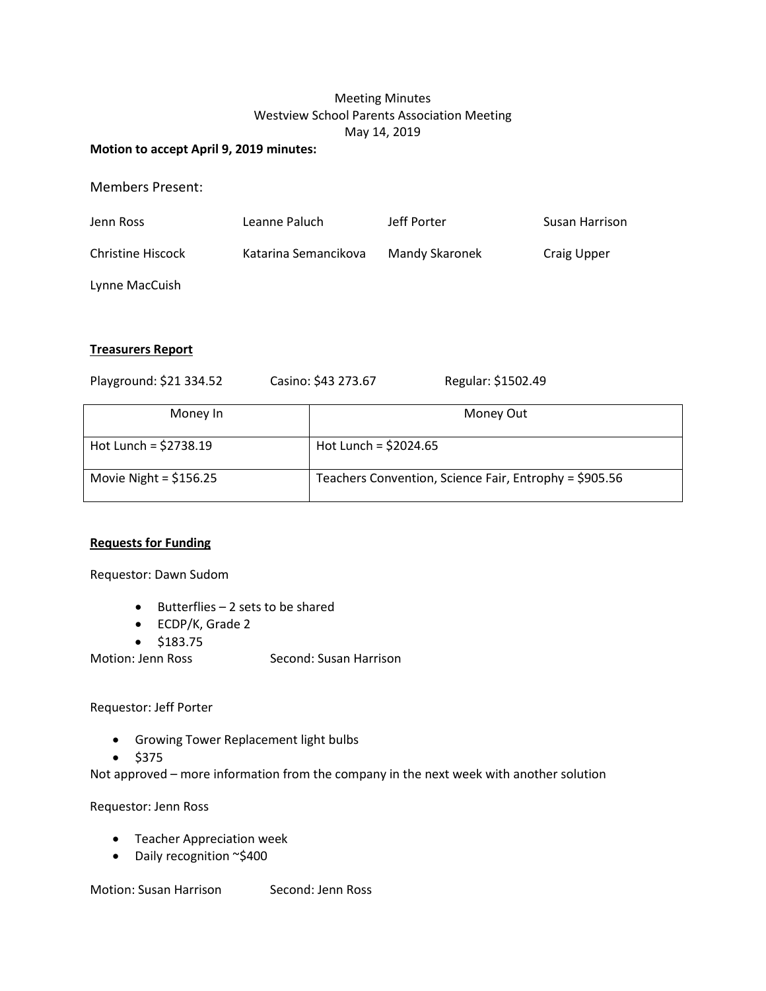# Meeting Minutes Westview School Parents Association Meeting May 14, 2019

#### **Motion to accept April 9, 2019 minutes:**

Members Present:

| Jenn Ross         | Leanne Paluch        | Jeff Porter    | Susan Harrison |
|-------------------|----------------------|----------------|----------------|
| Christine Hiscock | Katarina Semancikova | Mandy Skaronek | Craig Upper    |

Lynne MacCuish

## **Treasurers Report**

| Playground: \$21 334.52 | Casino: \$43 273.67    | Regular: \$1502.49                                     |
|-------------------------|------------------------|--------------------------------------------------------|
| Money In                |                        | Money Out                                              |
| Hot Lunch = $$2738.19$  | Hot Lunch = $$2024.65$ |                                                        |
| Movie Night = $$156.25$ |                        | Teachers Convention, Science Fair, Entrophy = \$905.56 |

# **Requests for Funding**

Requestor: Dawn Sudom

- Butterflies 2 sets to be shared
- ECDP/K, Grade 2
- \$183.75

Motion: Jenn Ross Second: Susan Harrison

Requestor: Jeff Porter

- Growing Tower Replacement light bulbs
- $•$  \$375

Not approved – more information from the company in the next week with another solution

Requestor: Jenn Ross

- Teacher Appreciation week
- Daily recognition ~\$400

Motion: Susan Harrison Second: Jenn Ross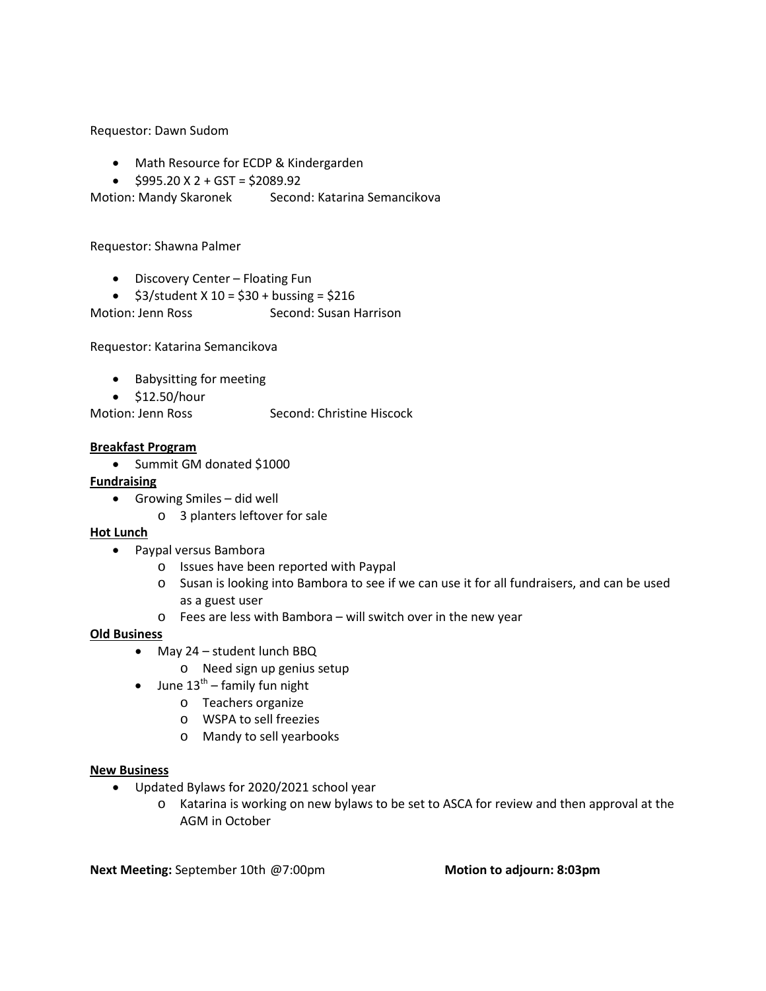Requestor: Dawn Sudom

- Math Resource for ECDP & Kindergarden
- $$995.20 \text{ X } 2 + \text{GST} = $2089.92$

Motion: Mandy Skaronek Second: Katarina Semancikova

Requestor: Shawna Palmer

- Discovery Center Floating Fun
- $$3/student \times 10 = $30 + businessing = $216$

Motion: Jenn Ross Second: Susan Harrison

Requestor: Katarina Semancikova

- Babysitting for meeting
- \$12.50/hour

Motion: Jenn Ross Second: Christine Hiscock

#### **Breakfast Program**

• Summit GM donated \$1000

## **Fundraising**

- Growing Smiles did well
	- o 3 planters leftover for sale

#### **Hot Lunch**

- Paypal versus Bambora
	- o Issues have been reported with Paypal
	- o Susan is looking into Bambora to see if we can use it for all fundraisers, and can be used as a guest user
	- o Fees are less with Bambora will switch over in the new year

#### **Old Business**

- May 24 student lunch BBQ
	- o Need sign up genius setup
- June  $13^{th}$  family fun night
	- o Teachers organize
	- o WSPA to sell freezies
	- o Mandy to sell yearbooks

#### **New Business**

- Updated Bylaws for 2020/2021 school year
	- o Katarina is working on new bylaws to be set to ASCA for review and then approval at the AGM in October

**Next Meeting:** September 10th @7:00pm **Motion to adjourn: 8:03pm**